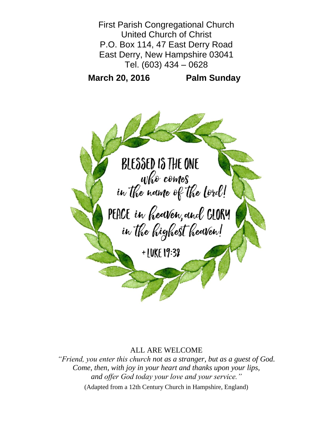

## ALL ARE WELCOME

*"Friend, you enter this church not as a stranger, but as a guest of God. Come, then, with joy in your heart and thanks upon your lips, and offer God today your love and your service."* (Adapted from a 12th Century Church in Hampshire, England)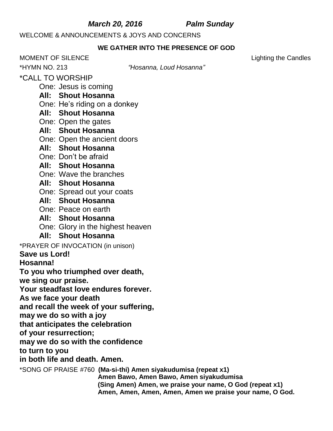## *March 20, 2016 Palm Sunday*

WELCOME & ANNOUNCEMENTS & JOYS AND CONCERNS

## **WE GATHER INTO THE PRESENCE OF GOD**

MOMENT OF SILENCE Lighting the Candles

\*HYMN NO. 213 *"Hosanna, Loud Hosanna"*

\*CALL TO WORSHIP

One: Jesus is coming

## **All: Shout Hosanna**

- One: He's riding on a donkey
- **All: Shout Hosanna**
- One: Open the gates
- **All: Shout Hosanna**
- One: Open the ancient doors
- **All: Shout Hosanna**
- One: Don't be afraid
- **All: Shout Hosanna**
- One: Wave the branches
- **All: Shout Hosanna**
- One: Spread out your coats
- **All: Shout Hosanna**
- One: Peace on earth
- **All: Shout Hosanna**
- One: Glory in the highest heaven
- **All: Shout Hosanna**
- \*PRAYER OF INVOCATION (in unison)
- **Save us Lord!**
- **Hosanna!**

**To you who triumphed over death,**

**we sing our praise.**

**Your steadfast love endures forever.** 

**As we face your death**

**and recall the week of your suffering,**

**may we do so with a joy**

**that anticipates the celebration**

**of your resurrection;**

**may we do so with the confidence**

**to turn to you**

## **in both life and death. Amen.**

\*SONG OF PRAISE #760 **(Ma-si-thi) Amen siyakudumisa (repeat x1)**

**Amen Bawo, Amen Bawo, Amen siyakudumisa (Sing Amen) Amen, we praise your name, O God (repeat x1) Amen, Amen, Amen, Amen, Amen we praise your name, O God.**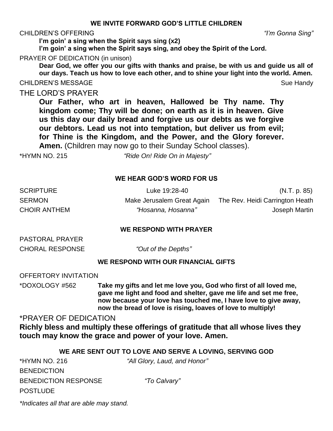### CHILDREN'S OFFERING *"I'm Gonna Sing"*

**I'm goin' a sing when the Spirit says sing (x2)**

**I'm goin' a sing when the Spirit says sing, and obey the Spirit of the Lord.**

### PRAYER OF DEDICATION (in unison)

**Dear God, we offer you our gifts with thanks and praise, be with us and guide us all of our days. Teach us how to love each other, and to shine your light into the world. Amen.** CHILDREN'S MESSAGE Sue Handy Sue Handy

## THE LORD'S PRAYER

**Our Father, who art in heaven, Hallowed be Thy name. Thy kingdom come; Thy will be done; on earth as it is in heaven. Give us this day our daily bread and forgive us our debts as we forgive our debtors. Lead us not into temptation, but deliver us from evil; for Thine is the Kingdom, and the Power, and the Glory forever. Amen.** (Children may now go to their Sunday School classes).

\*HYMN NO. 215 *"Ride On! Ride On in Majesty"*

### **WE HEAR GOD'S WORD FOR US**

| <b>SCRIPTURE</b>    | Luke 19:28-40              | (N.T. p. 85)                    |
|---------------------|----------------------------|---------------------------------|
| <b>SERMON</b>       | Make Jerusalem Great Again | The Rev. Heidi Carrington Heath |
| <b>CHOIR ANTHEM</b> | "Hosanna, Hosanna"         | Joseph Martin                   |

### **WE RESPOND WITH PRAYER**

| PASTORAL PRAYER        |
|------------------------|
| <b>CHORAL RESPONSE</b> |

"Out of the Depths"

### **WE RESPOND WITH OUR FINANCIAL GIFTS**

OFFERTORY INVITATION

\*DOXOLOGY #562 **Take my gifts and let me love you, God who first of all loved me, gave me light and food and shelter, gave me life and set me free, now because your love has touched me, I have love to give away, now the bread of love is rising, loaves of love to multiply!**

## \*PRAYER OF DEDICATION

**Richly bless and multiply these offerings of gratitude that all whose lives they touch may know the grace and power of your love. Amen.**

| WE ARE SENT OUT TO LOVE AND SERVE A LOVING, SERVING GOD |                              |  |  |
|---------------------------------------------------------|------------------------------|--|--|
| *HYMN NO. 216                                           | "All Glory, Laud, and Honor" |  |  |
| <b>BENEDICTION</b>                                      |                              |  |  |
| <b>BENEDICTION RESPONSE</b>                             | "To Calvary"                 |  |  |
| <b>POSTLUDE</b>                                         |                              |  |  |
|                                                         |                              |  |  |

*\*Indicates all that are able may stand.*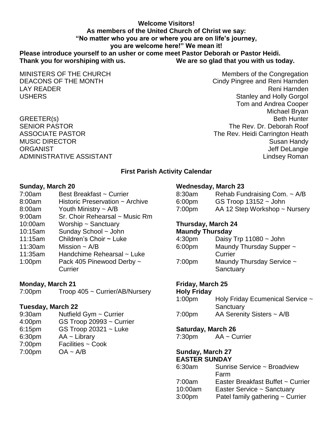### **Welcome Visitors! As members of the United Church of Christ we say: "No matter who you are or where you are on life's journey, you are welcome here!" We mean it! Please introduce yourself to an usher or come meet Pastor Deborah or Pastor Heidi. Thank you for worshiping with us. We are so glad that you with us today.**

MINISTERS OF THE CHURCH MINISTERS OF THE CHURCH DEACONS OF THE MONTH CINC CINC CIND CONSERVERSE CONSERVERSE CONSERVERSE PRODUCED AT A CONSERVERSION CONSERVERSION OF THE MONTH LAY READER **Reni Harnden** Reni Harnden (1999) and the set of the set of the set of the set of the set of the set of the set of the set of the set of the set of the set of the set of the set of the set of the set of the set USHERS **Stanley and Holly Gorgol** USHERS **Stanley and Holly Gorgol** Tom and Andrea Cooper Michael Bryan GREETER(s) Beth Hunter SENIOR PASTOR THE REV. Dr. Deborah Roof ASSOCIATE PASTOR The Rev. Heidi Carrington Heath MUSIC DIRECTOR Susan Handy ORGANIST **GRANIST** CONSULTER STATES AND THE SERVICE OF STATES AND THE SERVICE OF STATES AND THE SERVICE OF STATES AND THE SERVICE OF STATES AND THE SERVICE OF STATES AND THE SERVICE OF STATES AND THE SERVICE OF STATES AND ADMINISTRATIVE ASSISTANT AND ALL THE SERVICE OF A LINE OF A LINE OF A LINE OF A LINE OF A LINE OF A LINE OF A

### **First Parish Activity Calendar**

### **Sunday, March 20**

7:00am Best Breakfast ~ Currier 8:00am Historic Preservation ~ Archive 8:00am Youth Ministry ~ A/B 9:00am Sr. Choir Rehearsal ~ Music Rm 10:00am Worship ~ Sanctuary 10:15am Sunday School ~ John 11:15am Children's Choir ~ Luke 11:30am Mission  $\sim$  A/B 11:35am Handchime Rehearsal ~ Luke 1:00pm Pack 405 Pinewood Derby ~ **Currier** 

**Monday, March 21**

| 7:00pm | Troop 405 ~ Currier/AB/Nursery |
|--------|--------------------------------|

## **Tuesday, March 22**

- 9:30am Nutfield Gym ~ Currier
- 4:00pm GS Troop 20993 ~ Currier
- 6:15pm GS Troop 20321 ~ Luke
- 6:30pm AA ~ Library
- 7:00pm Facilities ~ Cook
- 7:00pm OA ~ A/B

## **Wednesday, March 23**

| 8:30am             | Rehab Fundraising Com. ~ A/B  |
|--------------------|-------------------------------|
| 6:00 <sub>pm</sub> | GS Troop $13152 -$ John       |
| 7:00pm             | AA 12 Step Workshop ~ Nursery |
|                    |                               |

# **Thursday, March 24**

## **Maundy Thursday**

| Daisy Trp $11080 \sim$ John            |
|----------------------------------------|
| Maundy Thursday Supper ~               |
| Currier                                |
| Maundy Thursday Service ~<br>Sanctuary |
|                                        |

## **Friday, March 25**

### **Holy Friday**

| 1:00 <sub>pm</sub> | Holy Friday Ecumenical Service ~ |
|--------------------|----------------------------------|
|                    | Sanctuary                        |
| 7:00 <sub>pm</sub> | AA Serenity Sisters $\sim$ A/B   |

## **Saturday, March 26**

7:30pm AA ~ Currier

### **Sunday, March 27 EASTER SUNDAY**

6:30am Sunrise Service ~ Broadview Farm 7:00am Easter Breakfast Buffet ~ Currier 10:00am Easter Service ~ Sanctuary 3:00pm Patel family gathering ~ Currier